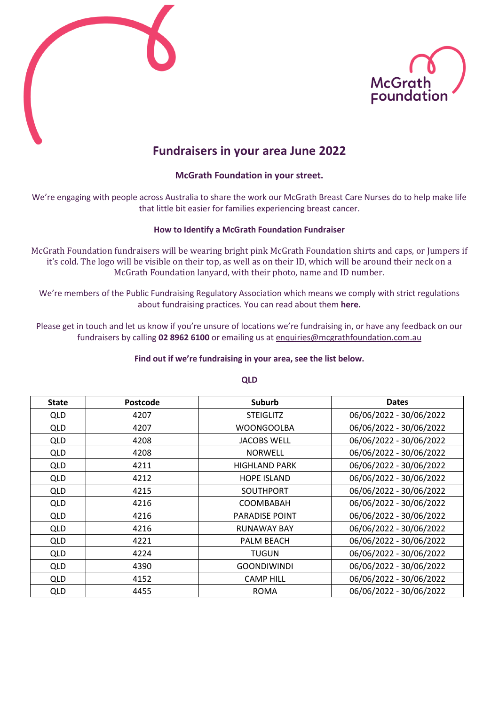



# **Fundraisers in your area June 2022**

### **McGrath Foundation in your street.**

We're engaging with people across Australia to share the work our McGrath Breast Care Nurses do to help make life that little bit easier for families experiencing breast cancer.

### **How to Identify a McGrath Foundation Fundraiser**

McGrath Foundation fundraisers will be wearing bright pink McGrath Foundation shirts and caps, or Jumpers if it's cold. The logo will be visible on their top, as well as on their ID, which will be around their neck on a McGrath Foundation lanyard, with their photo, name and ID number.

We're members of the Public Fundraising Regulatory Association which means we comply with strict regulations about fundraising practices. You can read about them **[here.](https://www.pfra.org.au/pages/door-to-door-fundraising.html)**

Please get in touch and let us know if you're unsure of locations we're fundraising in, or have any feedback on our fundraisers by calling **02 8962 6100** or emailing us at [enquiries@mcgrathfoundation.com.au](mailto:enquiries@mcgrathfoundation.com.au)

#### **Find out if we're fundraising in your area, see the list below.**

| <b>State</b> | <b>Postcode</b> | <b>Suburb</b>         | <b>Dates</b>            |
|--------------|-----------------|-----------------------|-------------------------|
| <b>QLD</b>   | 4207            | <b>STEIGLITZ</b>      | 06/06/2022 - 30/06/2022 |
| <b>QLD</b>   | 4207            | <b>WOONGOOLBA</b>     | 06/06/2022 - 30/06/2022 |
| <b>QLD</b>   | 4208            | <b>JACOBS WELL</b>    | 06/06/2022 - 30/06/2022 |
| <b>QLD</b>   | 4208            | <b>NORWELL</b>        | 06/06/2022 - 30/06/2022 |
| <b>QLD</b>   | 4211            | <b>HIGHLAND PARK</b>  | 06/06/2022 - 30/06/2022 |
| <b>QLD</b>   | 4212            | <b>HOPE ISLAND</b>    | 06/06/2022 - 30/06/2022 |
| <b>QLD</b>   | 4215            | <b>SOUTHPORT</b>      | 06/06/2022 - 30/06/2022 |
| <b>QLD</b>   | 4216            | <b>COOMBABAH</b>      | 06/06/2022 - 30/06/2022 |
| <b>QLD</b>   | 4216            | <b>PARADISE POINT</b> | 06/06/2022 - 30/06/2022 |
| <b>QLD</b>   | 4216            | <b>RUNAWAY BAY</b>    | 06/06/2022 - 30/06/2022 |
| <b>QLD</b>   | 4221            | PALM BEACH            | 06/06/2022 - 30/06/2022 |
| <b>QLD</b>   | 4224            | <b>TUGUN</b>          | 06/06/2022 - 30/06/2022 |
| <b>QLD</b>   | 4390            | <b>GOONDIWINDI</b>    | 06/06/2022 - 30/06/2022 |
| <b>QLD</b>   | 4152            | <b>CAMP HILL</b>      | 06/06/2022 - 30/06/2022 |
| <b>QLD</b>   | 4455            | <b>ROMA</b>           | 06/06/2022 - 30/06/2022 |

#### **QLD**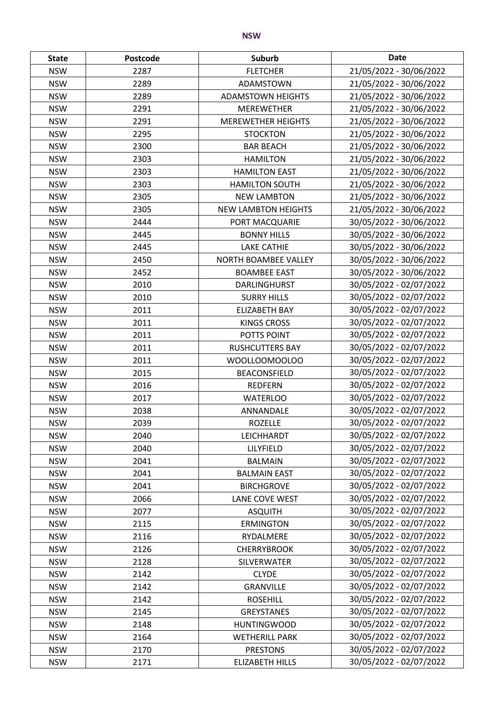| <b>State</b> | Postcode | <b>Suburb</b>              | <b>Date</b>             |
|--------------|----------|----------------------------|-------------------------|
| <b>NSW</b>   | 2287     | <b>FLETCHER</b>            | 21/05/2022 - 30/06/2022 |
| <b>NSW</b>   | 2289     | ADAMSTOWN                  | 21/05/2022 - 30/06/2022 |
| <b>NSW</b>   | 2289     | <b>ADAMSTOWN HEIGHTS</b>   | 21/05/2022 - 30/06/2022 |
| <b>NSW</b>   | 2291     | <b>MEREWETHER</b>          | 21/05/2022 - 30/06/2022 |
| <b>NSW</b>   | 2291     | <b>MEREWETHER HEIGHTS</b>  | 21/05/2022 - 30/06/2022 |
| <b>NSW</b>   | 2295     | <b>STOCKTON</b>            | 21/05/2022 - 30/06/2022 |
| <b>NSW</b>   | 2300     | <b>BAR BEACH</b>           | 21/05/2022 - 30/06/2022 |
| <b>NSW</b>   | 2303     | <b>HAMILTON</b>            | 21/05/2022 - 30/06/2022 |
| <b>NSW</b>   | 2303     | <b>HAMILTON EAST</b>       | 21/05/2022 - 30/06/2022 |
| <b>NSW</b>   | 2303     | <b>HAMILTON SOUTH</b>      | 21/05/2022 - 30/06/2022 |
| <b>NSW</b>   | 2305     | <b>NEW LAMBTON</b>         | 21/05/2022 - 30/06/2022 |
| <b>NSW</b>   | 2305     | <b>NEW LAMBTON HEIGHTS</b> | 21/05/2022 - 30/06/2022 |
| <b>NSW</b>   | 2444     | PORT MACQUARIE             | 30/05/2022 - 30/06/2022 |
| <b>NSW</b>   | 2445     | <b>BONNY HILLS</b>         | 30/05/2022 - 30/06/2022 |
| <b>NSW</b>   | 2445     | <b>LAKE CATHIE</b>         | 30/05/2022 - 30/06/2022 |
| <b>NSW</b>   | 2450     | NORTH BOAMBEE VALLEY       | 30/05/2022 - 30/06/2022 |
| <b>NSW</b>   | 2452     | <b>BOAMBEE EAST</b>        | 30/05/2022 - 30/06/2022 |
| <b>NSW</b>   | 2010     | DARLINGHURST               | 30/05/2022 - 02/07/2022 |
| <b>NSW</b>   | 2010     | <b>SURRY HILLS</b>         | 30/05/2022 - 02/07/2022 |
| <b>NSW</b>   | 2011     | <b>ELIZABETH BAY</b>       | 30/05/2022 - 02/07/2022 |
| <b>NSW</b>   | 2011     | <b>KINGS CROSS</b>         | 30/05/2022 - 02/07/2022 |
| <b>NSW</b>   | 2011     | POTTS POINT                | 30/05/2022 - 02/07/2022 |
| <b>NSW</b>   | 2011     | <b>RUSHCUTTERS BAY</b>     | 30/05/2022 - 02/07/2022 |
| <b>NSW</b>   | 2011     | WOOLLOOMOOLOO              | 30/05/2022 - 02/07/2022 |
| <b>NSW</b>   | 2015     | <b>BEACONSFIELD</b>        | 30/05/2022 - 02/07/2022 |
| <b>NSW</b>   | 2016     | <b>REDFERN</b>             | 30/05/2022 - 02/07/2022 |
| <b>NSW</b>   | 2017     | <b>WATERLOO</b>            | 30/05/2022 - 02/07/2022 |
| <b>NSW</b>   | 2038     | ANNANDALE                  | 30/05/2022 - 02/07/2022 |
| <b>NSW</b>   | 2039     | <b>ROZELLE</b>             | 30/05/2022 - 02/07/2022 |
| <b>NSW</b>   | 2040     | LEICHHARDT                 | 30/05/2022 - 02/07/2022 |
| <b>NSW</b>   | 2040     | LILYFIELD                  | 30/05/2022 - 02/07/2022 |
| <b>NSW</b>   | 2041     | <b>BALMAIN</b>             | 30/05/2022 - 02/07/2022 |
| <b>NSW</b>   | 2041     | <b>BALMAIN EAST</b>        | 30/05/2022 - 02/07/2022 |
| <b>NSW</b>   | 2041     | <b>BIRCHGROVE</b>          | 30/05/2022 - 02/07/2022 |
| <b>NSW</b>   | 2066     | LANE COVE WEST             | 30/05/2022 - 02/07/2022 |
| <b>NSW</b>   | 2077     | <b>ASQUITH</b>             | 30/05/2022 - 02/07/2022 |
| <b>NSW</b>   | 2115     | <b>ERMINGTON</b>           | 30/05/2022 - 02/07/2022 |
| <b>NSW</b>   | 2116     | RYDALMERE                  | 30/05/2022 - 02/07/2022 |
| <b>NSW</b>   | 2126     | <b>CHERRYBROOK</b>         | 30/05/2022 - 02/07/2022 |
| <b>NSW</b>   | 2128     | SILVERWATER                | 30/05/2022 - 02/07/2022 |
| <b>NSW</b>   | 2142     | <b>CLYDE</b>               | 30/05/2022 - 02/07/2022 |
| <b>NSW</b>   | 2142     | <b>GRANVILLE</b>           | 30/05/2022 - 02/07/2022 |
| <b>NSW</b>   | 2142     | <b>ROSEHILL</b>            | 30/05/2022 - 02/07/2022 |
| <b>NSW</b>   | 2145     | <b>GREYSTANES</b>          | 30/05/2022 - 02/07/2022 |
| <b>NSW</b>   | 2148     | <b>HUNTINGWOOD</b>         | 30/05/2022 - 02/07/2022 |
| <b>NSW</b>   | 2164     | <b>WETHERILL PARK</b>      | 30/05/2022 - 02/07/2022 |
| <b>NSW</b>   | 2170     | <b>PRESTONS</b>            | 30/05/2022 - 02/07/2022 |
| <b>NSW</b>   | 2171     | <b>ELIZABETH HILLS</b>     | 30/05/2022 - 02/07/2022 |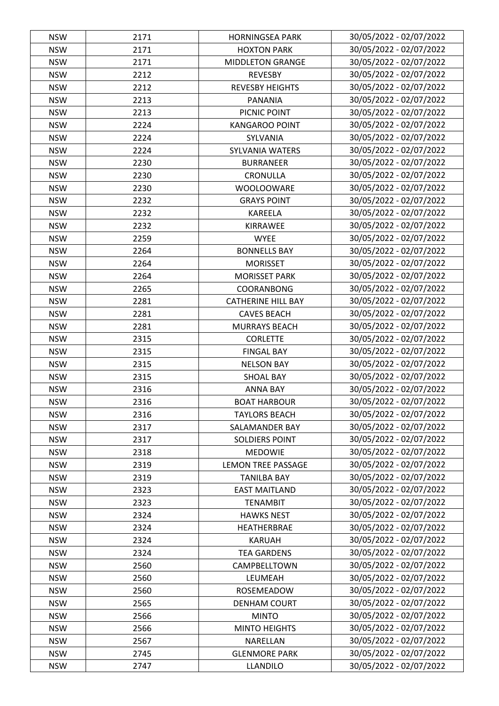| <b>NSW</b> | 2171 | <b>HORNINGSEA PARK</b>    | 30/05/2022 - 02/07/2022 |
|------------|------|---------------------------|-------------------------|
| <b>NSW</b> | 2171 | <b>HOXTON PARK</b>        | 30/05/2022 - 02/07/2022 |
| <b>NSW</b> | 2171 | <b>MIDDLETON GRANGE</b>   | 30/05/2022 - 02/07/2022 |
| <b>NSW</b> | 2212 | <b>REVESBY</b>            | 30/05/2022 - 02/07/2022 |
| <b>NSW</b> | 2212 | <b>REVESBY HEIGHTS</b>    | 30/05/2022 - 02/07/2022 |
| <b>NSW</b> | 2213 | PANANIA                   | 30/05/2022 - 02/07/2022 |
| <b>NSW</b> | 2213 | PICNIC POINT              | 30/05/2022 - 02/07/2022 |
| <b>NSW</b> | 2224 | <b>KANGAROO POINT</b>     | 30/05/2022 - 02/07/2022 |
| <b>NSW</b> | 2224 | SYLVANIA                  | 30/05/2022 - 02/07/2022 |
| <b>NSW</b> | 2224 | SYLVANIA WATERS           | 30/05/2022 - 02/07/2022 |
| <b>NSW</b> | 2230 | <b>BURRANEER</b>          | 30/05/2022 - 02/07/2022 |
| <b>NSW</b> | 2230 | CRONULLA                  | 30/05/2022 - 02/07/2022 |
| <b>NSW</b> | 2230 | <b>WOOLOOWARE</b>         | 30/05/2022 - 02/07/2022 |
| <b>NSW</b> | 2232 | <b>GRAYS POINT</b>        | 30/05/2022 - 02/07/2022 |
| <b>NSW</b> | 2232 | <b>KAREELA</b>            | 30/05/2022 - 02/07/2022 |
| <b>NSW</b> | 2232 | KIRRAWEE                  | 30/05/2022 - 02/07/2022 |
| <b>NSW</b> | 2259 | <b>WYEE</b>               | 30/05/2022 - 02/07/2022 |
| <b>NSW</b> | 2264 | <b>BONNELLS BAY</b>       | 30/05/2022 - 02/07/2022 |
|            |      |                           | 30/05/2022 - 02/07/2022 |
| <b>NSW</b> | 2264 | <b>MORISSET</b>           |                         |
| <b>NSW</b> | 2264 | <b>MORISSET PARK</b>      | 30/05/2022 - 02/07/2022 |
| <b>NSW</b> | 2265 | COORANBONG                | 30/05/2022 - 02/07/2022 |
| <b>NSW</b> | 2281 | <b>CATHERINE HILL BAY</b> | 30/05/2022 - 02/07/2022 |
| <b>NSW</b> | 2281 | <b>CAVES BEACH</b>        | 30/05/2022 - 02/07/2022 |
| <b>NSW</b> | 2281 | <b>MURRAYS BEACH</b>      | 30/05/2022 - 02/07/2022 |
| <b>NSW</b> | 2315 | <b>CORLETTE</b>           | 30/05/2022 - 02/07/2022 |
| <b>NSW</b> | 2315 | <b>FINGAL BAY</b>         | 30/05/2022 - 02/07/2022 |
| <b>NSW</b> | 2315 | <b>NELSON BAY</b>         | 30/05/2022 - 02/07/2022 |
| <b>NSW</b> | 2315 | <b>SHOAL BAY</b>          | 30/05/2022 - 02/07/2022 |
| <b>NSW</b> | 2316 | <b>ANNA BAY</b>           | 30/05/2022 - 02/07/2022 |
| <b>NSW</b> | 2316 | <b>BOAT HARBOUR</b>       | 30/05/2022 - 02/07/2022 |
| <b>NSW</b> | 2316 | <b>TAYLORS BEACH</b>      | 30/05/2022 - 02/07/2022 |
| <b>NSW</b> | 2317 | SALAMANDER BAY            | 30/05/2022 - 02/07/2022 |
| <b>NSW</b> | 2317 | <b>SOLDIERS POINT</b>     | 30/05/2022 - 02/07/2022 |
| <b>NSW</b> | 2318 | <b>MEDOWIE</b>            | 30/05/2022 - 02/07/2022 |
| <b>NSW</b> | 2319 | <b>LEMON TREE PASSAGE</b> | 30/05/2022 - 02/07/2022 |
| <b>NSW</b> | 2319 | <b>TANILBA BAY</b>        | 30/05/2022 - 02/07/2022 |
| <b>NSW</b> | 2323 | <b>EAST MAITLAND</b>      | 30/05/2022 - 02/07/2022 |
| <b>NSW</b> | 2323 | <b>TENAMBIT</b>           | 30/05/2022 - 02/07/2022 |
| <b>NSW</b> | 2324 | <b>HAWKS NEST</b>         | 30/05/2022 - 02/07/2022 |
| <b>NSW</b> | 2324 | HEATHERBRAE               | 30/05/2022 - 02/07/2022 |
| <b>NSW</b> | 2324 | <b>KARUAH</b>             | 30/05/2022 - 02/07/2022 |
| <b>NSW</b> | 2324 | <b>TEA GARDENS</b>        | 30/05/2022 - 02/07/2022 |
| <b>NSW</b> | 2560 | CAMPBELLTOWN              | 30/05/2022 - 02/07/2022 |
| <b>NSW</b> | 2560 | LEUMEAH                   | 30/05/2022 - 02/07/2022 |
| <b>NSW</b> | 2560 | ROSEMEADOW                | 30/05/2022 - 02/07/2022 |
| <b>NSW</b> | 2565 | <b>DENHAM COURT</b>       | 30/05/2022 - 02/07/2022 |
| <b>NSW</b> | 2566 | <b>MINTO</b>              | 30/05/2022 - 02/07/2022 |
| <b>NSW</b> | 2566 | <b>MINTO HEIGHTS</b>      | 30/05/2022 - 02/07/2022 |
| <b>NSW</b> | 2567 | NARELLAN                  | 30/05/2022 - 02/07/2022 |
| <b>NSW</b> | 2745 | <b>GLENMORE PARK</b>      | 30/05/2022 - 02/07/2022 |
| <b>NSW</b> | 2747 | <b>LLANDILO</b>           | 30/05/2022 - 02/07/2022 |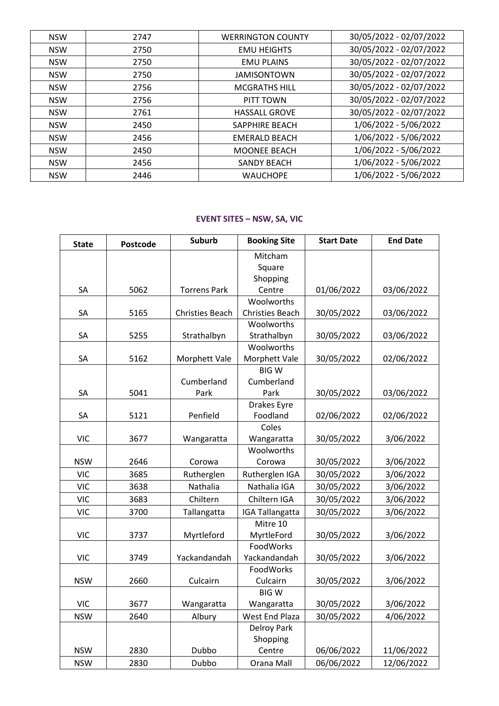| <b>NSW</b> | 2747 | <b>WERRINGTON COUNTY</b> | 30/05/2022 - 02/07/2022 |
|------------|------|--------------------------|-------------------------|
| <b>NSW</b> | 2750 | <b>EMU HEIGHTS</b>       | 30/05/2022 - 02/07/2022 |
| <b>NSW</b> | 2750 | <b>EMU PLAINS</b>        | 30/05/2022 - 02/07/2022 |
| <b>NSW</b> | 2750 | <b>JAMISONTOWN</b>       | 30/05/2022 - 02/07/2022 |
| <b>NSW</b> | 2756 | <b>MCGRATHS HILL</b>     | 30/05/2022 - 02/07/2022 |
| <b>NSW</b> | 2756 | PITT TOWN                | 30/05/2022 - 02/07/2022 |
| <b>NSW</b> | 2761 | <b>HASSALL GROVE</b>     | 30/05/2022 - 02/07/2022 |
| <b>NSW</b> | 2450 | SAPPHIRE BEACH           | 1/06/2022 - 5/06/2022   |
| <b>NSW</b> | 2456 | <b>EMERALD BEACH</b>     | 1/06/2022 - 5/06/2022   |
| <b>NSW</b> | 2450 | <b>MOONEE BEACH</b>      | 1/06/2022 - 5/06/2022   |
| <b>NSW</b> | 2456 | <b>SANDY BEACH</b>       | 1/06/2022 - 5/06/2022   |
| <b>NSW</b> | 2446 | <b>WAUCHOPE</b>          | 1/06/2022 - 5/06/2022   |

## **EVENT SITES – NSW, SA, VIC**

| <b>State</b> | Postcode | <b>Suburb</b>          | <b>Booking Site</b>    | <b>Start Date</b> | <b>End Date</b> |
|--------------|----------|------------------------|------------------------|-------------------|-----------------|
|              |          |                        | Mitcham                |                   |                 |
|              |          |                        | Square                 |                   |                 |
|              |          |                        | Shopping               |                   |                 |
| SA           | 5062     | <b>Torrens Park</b>    | Centre                 | 01/06/2022        | 03/06/2022      |
|              |          |                        | Woolworths             |                   |                 |
| SA           | 5165     | <b>Christies Beach</b> | <b>Christies Beach</b> | 30/05/2022        | 03/06/2022      |
|              |          |                        | Woolworths             |                   |                 |
| SA           | 5255     | Strathalbyn            | Strathalbyn            | 30/05/2022        | 03/06/2022      |
|              |          |                        | Woolworths             |                   |                 |
| SA           | 5162     | Morphett Vale          | Morphett Vale          | 30/05/2022        | 02/06/2022      |
|              |          |                        | <b>BIGW</b>            |                   |                 |
|              |          | Cumberland             | Cumberland             |                   |                 |
| SA           | 5041     | Park                   | Park                   | 30/05/2022        | 03/06/2022      |
|              |          |                        | Drakes Eyre            |                   |                 |
| SA           | 5121     | Penfield               | Foodland               | 02/06/2022        | 02/06/2022      |
|              |          |                        | Coles                  |                   |                 |
| <b>VIC</b>   | 3677     | Wangaratta             | Wangaratta             | 30/05/2022        | 3/06/2022       |
|              |          |                        | Woolworths             |                   |                 |
| <b>NSW</b>   | 2646     | Corowa                 | Corowa                 | 30/05/2022        | 3/06/2022       |
| <b>VIC</b>   | 3685     | Rutherglen             | Rutherglen IGA         | 30/05/2022        | 3/06/2022       |
| <b>VIC</b>   | 3638     | Nathalia               | Nathalia IGA           | 30/05/2022        | 3/06/2022       |
| <b>VIC</b>   | 3683     | Chiltern               | Chiltern IGA           | 30/05/2022        | 3/06/2022       |
| <b>VIC</b>   | 3700     | Tallangatta            | <b>IGA Tallangatta</b> | 30/05/2022        | 3/06/2022       |
|              |          |                        | Mitre 10               |                   |                 |
| <b>VIC</b>   | 3737     | Myrtleford             | MyrtleFord             | 30/05/2022        | 3/06/2022       |
|              |          |                        | FoodWorks              |                   |                 |
| <b>VIC</b>   | 3749     | Yackandandah           | Yackandandah           | 30/05/2022        | 3/06/2022       |
|              |          |                        | FoodWorks              |                   |                 |
| <b>NSW</b>   | 2660     | Culcairn               | Culcairn               | 30/05/2022        | 3/06/2022       |
|              |          |                        | <b>BIGW</b>            |                   |                 |
| <b>VIC</b>   | 3677     | Wangaratta             | Wangaratta             | 30/05/2022        | 3/06/2022       |
| <b>NSW</b>   | 2640     | Albury                 | <b>West End Plaza</b>  | 30/05/2022        | 4/06/2022       |
|              |          |                        | <b>Delroy Park</b>     |                   |                 |
|              |          |                        | Shopping               |                   |                 |
| <b>NSW</b>   | 2830     | Dubbo                  | Centre                 | 06/06/2022        | 11/06/2022      |
| <b>NSW</b>   | 2830     | Dubbo                  | Orana Mall             | 06/06/2022        | 12/06/2022      |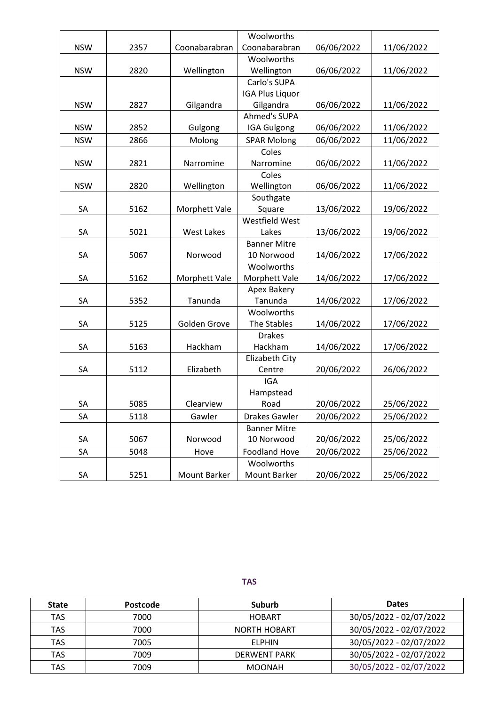|            |      |                   | Woolworths             |            |            |
|------------|------|-------------------|------------------------|------------|------------|
| <b>NSW</b> | 2357 | Coonabarabran     | Coonabarabran          | 06/06/2022 | 11/06/2022 |
|            |      |                   | Woolworths             |            |            |
| <b>NSW</b> | 2820 | Wellington        | Wellington             | 06/06/2022 | 11/06/2022 |
|            |      |                   | Carlo's SUPA           |            |            |
|            |      |                   | <b>IGA Plus Liquor</b> |            |            |
| <b>NSW</b> | 2827 | Gilgandra         | Gilgandra              | 06/06/2022 | 11/06/2022 |
|            |      |                   | <b>Ahmed's SUPA</b>    |            |            |
| <b>NSW</b> | 2852 | Gulgong           | <b>IGA Gulgong</b>     | 06/06/2022 | 11/06/2022 |
| <b>NSW</b> | 2866 | Molong            | <b>SPAR Molong</b>     | 06/06/2022 | 11/06/2022 |
|            |      |                   | Coles                  |            |            |
| <b>NSW</b> | 2821 | Narromine         | Narromine              | 06/06/2022 | 11/06/2022 |
|            |      |                   | Coles                  |            |            |
| <b>NSW</b> | 2820 | Wellington        | Wellington             | 06/06/2022 | 11/06/2022 |
|            |      |                   | Southgate              |            |            |
| SA         | 5162 | Morphett Vale     | Square                 | 13/06/2022 | 19/06/2022 |
|            |      |                   | <b>Westfield West</b>  |            |            |
| SA         | 5021 | <b>West Lakes</b> | Lakes                  | 13/06/2022 | 19/06/2022 |
|            |      |                   | <b>Banner Mitre</b>    |            |            |
| SA         | 5067 | Norwood           | 10 Norwood             | 14/06/2022 | 17/06/2022 |
|            |      |                   | Woolworths             |            |            |
| SA         | 5162 | Morphett Vale     | Morphett Vale          | 14/06/2022 | 17/06/2022 |
|            |      |                   | Apex Bakery            |            |            |
| SA         | 5352 | Tanunda           | Tanunda                | 14/06/2022 | 17/06/2022 |
|            |      |                   | Woolworths             |            |            |
| SA         | 5125 | Golden Grove      | The Stables            | 14/06/2022 | 17/06/2022 |
|            |      |                   | <b>Drakes</b>          |            |            |
| SA         | 5163 | Hackham           | Hackham                | 14/06/2022 | 17/06/2022 |
|            |      |                   | Elizabeth City         |            |            |
| SA         | 5112 | Elizabeth         | Centre                 | 20/06/2022 | 26/06/2022 |
|            |      |                   | <b>IGA</b>             |            |            |
|            |      |                   | Hampstead              |            |            |
| SA         | 5085 | Clearview         | Road                   | 20/06/2022 | 25/06/2022 |
| SA         | 5118 | Gawler            | Drakes Gawler          | 20/06/2022 | 25/06/2022 |
|            |      |                   | <b>Banner Mitre</b>    |            |            |
| SA         | 5067 | Norwood           | 10 Norwood             | 20/06/2022 | 25/06/2022 |
| SA         | 5048 | Hove              | <b>Foodland Hove</b>   | 20/06/2022 | 25/06/2022 |
|            |      |                   | Woolworths             |            |            |
| SA         | 5251 | Mount Barker      | Mount Barker           | 20/06/2022 | 25/06/2022 |

#### **TAS**

| <b>State</b> | Postcode | Suburb              | <b>Dates</b>            |
|--------------|----------|---------------------|-------------------------|
| <b>TAS</b>   | 7000     | <b>HOBART</b>       | 30/05/2022 - 02/07/2022 |
| <b>TAS</b>   | 7000     | <b>NORTH HOBART</b> | 30/05/2022 - 02/07/2022 |
| <b>TAS</b>   | 7005     | ELPHIN              | 30/05/2022 - 02/07/2022 |
| <b>TAS</b>   | 7009     | DERWENT PARK        | 30/05/2022 - 02/07/2022 |
| TAS          | 7009     | <b>MOONAH</b>       | 30/05/2022 - 02/07/2022 |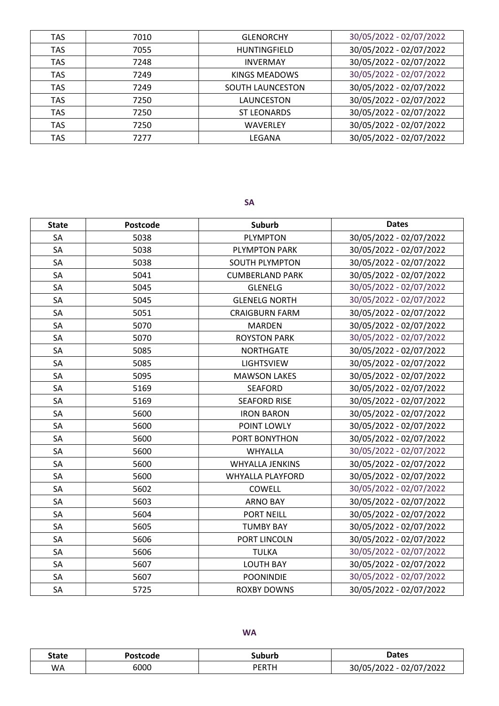| <b>TAS</b> | 7010 | <b>GLENORCHY</b>        | 30/05/2022 - 02/07/2022 |
|------------|------|-------------------------|-------------------------|
| <b>TAS</b> | 7055 | <b>HUNTINGFIELD</b>     | 30/05/2022 - 02/07/2022 |
| <b>TAS</b> | 7248 | <b>INVERMAY</b>         | 30/05/2022 - 02/07/2022 |
| <b>TAS</b> | 7249 | KINGS MEADOWS           | 30/05/2022 - 02/07/2022 |
| <b>TAS</b> | 7249 | <b>SOUTH LAUNCESTON</b> | 30/05/2022 - 02/07/2022 |
| <b>TAS</b> | 7250 | LAUNCESTON              | 30/05/2022 - 02/07/2022 |
| <b>TAS</b> | 7250 | <b>ST LEONARDS</b>      | 30/05/2022 - 02/07/2022 |
| <b>TAS</b> | 7250 | <b>WAVERLEY</b>         | 30/05/2022 - 02/07/2022 |
| <b>TAS</b> | 7277 | LEGANA                  | 30/05/2022 - 02/07/2022 |

**SA**

| <b>State</b> | Postcode | Suburb                  | <b>Dates</b>            |
|--------------|----------|-------------------------|-------------------------|
| SA           | 5038     | <b>PLYMPTON</b>         | 30/05/2022 - 02/07/2022 |
| SA           | 5038     | <b>PLYMPTON PARK</b>    | 30/05/2022 - 02/07/2022 |
| SA           | 5038     | <b>SOUTH PLYMPTON</b>   | 30/05/2022 - 02/07/2022 |
| SA           | 5041     | <b>CUMBERLAND PARK</b>  | 30/05/2022 - 02/07/2022 |
| SA           | 5045     | <b>GLENELG</b>          | 30/05/2022 - 02/07/2022 |
| SA           | 5045     | <b>GLENELG NORTH</b>    | 30/05/2022 - 02/07/2022 |
| SA           | 5051     | <b>CRAIGBURN FARM</b>   | 30/05/2022 - 02/07/2022 |
| SA           | 5070     | <b>MARDEN</b>           | 30/05/2022 - 02/07/2022 |
| SA           | 5070     | <b>ROYSTON PARK</b>     | 30/05/2022 - 02/07/2022 |
| SA           | 5085     | <b>NORTHGATE</b>        | 30/05/2022 - 02/07/2022 |
| SA           | 5085     | <b>LIGHTSVIEW</b>       | 30/05/2022 - 02/07/2022 |
| SA           | 5095     | <b>MAWSON LAKES</b>     | 30/05/2022 - 02/07/2022 |
| SA           | 5169     | <b>SEAFORD</b>          | 30/05/2022 - 02/07/2022 |
| SA           | 5169     | <b>SEAFORD RISE</b>     | 30/05/2022 - 02/07/2022 |
| SA           | 5600     | <b>IRON BARON</b>       | 30/05/2022 - 02/07/2022 |
| SA           | 5600     | POINT LOWLY             | 30/05/2022 - 02/07/2022 |
| SA           | 5600     | PORT BONYTHON           | 30/05/2022 - 02/07/2022 |
| SA           | 5600     | <b>WHYALLA</b>          | 30/05/2022 - 02/07/2022 |
| SA           | 5600     | <b>WHYALLA JENKINS</b>  | 30/05/2022 - 02/07/2022 |
| SA           | 5600     | <b>WHYALLA PLAYFORD</b> | 30/05/2022 - 02/07/2022 |
| SA           | 5602     | COWELL                  | 30/05/2022 - 02/07/2022 |
| SA           | 5603     | <b>ARNO BAY</b>         | 30/05/2022 - 02/07/2022 |
| SA           | 5604     | <b>PORT NEILL</b>       | 30/05/2022 - 02/07/2022 |
| SA           | 5605     | <b>TUMBY BAY</b>        | 30/05/2022 - 02/07/2022 |
| SA           | 5606     | PORT LINCOLN            | 30/05/2022 - 02/07/2022 |
| SA           | 5606     | <b>TULKA</b>            | 30/05/2022 - 02/07/2022 |
| SA           | 5607     | <b>LOUTH BAY</b>        | 30/05/2022 - 02/07/2022 |
| SA           | 5607     | <b>POONINDIE</b>        | 30/05/2022 - 02/07/2022 |
| SA           | 5725     | <b>ROXBY DOWNS</b>      | 30/05/2022 - 02/07/2022 |

| <b>Dates</b>            |
|-------------------------|
| 30/05/2022 - 02/07/2022 |
|                         |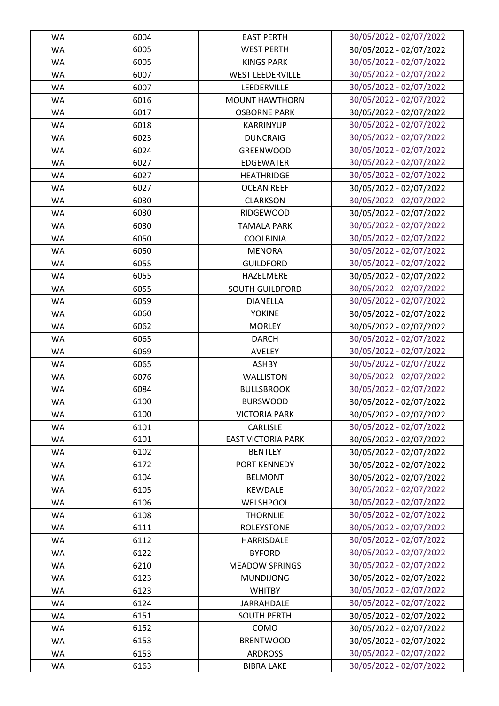| WA        | 6004 | <b>EAST PERTH</b>         | 30/05/2022 - 02/07/2022 |
|-----------|------|---------------------------|-------------------------|
| <b>WA</b> | 6005 | <b>WEST PERTH</b>         | 30/05/2022 - 02/07/2022 |
| <b>WA</b> | 6005 | <b>KINGS PARK</b>         | 30/05/2022 - 02/07/2022 |
| <b>WA</b> | 6007 | <b>WEST LEEDERVILLE</b>   | 30/05/2022 - 02/07/2022 |
| <b>WA</b> | 6007 | LEEDERVILLE               | 30/05/2022 - 02/07/2022 |
| <b>WA</b> | 6016 | <b>MOUNT HAWTHORN</b>     | 30/05/2022 - 02/07/2022 |
| <b>WA</b> | 6017 | <b>OSBORNE PARK</b>       | 30/05/2022 - 02/07/2022 |
| <b>WA</b> | 6018 | <b>KARRINYUP</b>          | 30/05/2022 - 02/07/2022 |
| <b>WA</b> | 6023 | <b>DUNCRAIG</b>           | 30/05/2022 - 02/07/2022 |
| <b>WA</b> | 6024 | <b>GREENWOOD</b>          | 30/05/2022 - 02/07/2022 |
| <b>WA</b> | 6027 | <b>EDGEWATER</b>          | 30/05/2022 - 02/07/2022 |
| <b>WA</b> | 6027 | <b>HEATHRIDGE</b>         | 30/05/2022 - 02/07/2022 |
| <b>WA</b> | 6027 | <b>OCEAN REEF</b>         | 30/05/2022 - 02/07/2022 |
| <b>WA</b> | 6030 | <b>CLARKSON</b>           | 30/05/2022 - 02/07/2022 |
| <b>WA</b> | 6030 | <b>RIDGEWOOD</b>          | 30/05/2022 - 02/07/2022 |
| <b>WA</b> | 6030 | <b>TAMALA PARK</b>        | 30/05/2022 - 02/07/2022 |
| <b>WA</b> | 6050 | <b>COOLBINIA</b>          | 30/05/2022 - 02/07/2022 |
| <b>WA</b> | 6050 | <b>MENORA</b>             | 30/05/2022 - 02/07/2022 |
| <b>WA</b> | 6055 | <b>GUILDFORD</b>          | 30/05/2022 - 02/07/2022 |
| <b>WA</b> | 6055 | HAZELMERE                 | 30/05/2022 - 02/07/2022 |
|           |      |                           |                         |
| <b>WA</b> | 6055 | <b>SOUTH GUILDFORD</b>    | 30/05/2022 - 02/07/2022 |
| <b>WA</b> | 6059 | <b>DIANELLA</b>           | 30/05/2022 - 02/07/2022 |
| <b>WA</b> | 6060 | <b>YOKINE</b>             | 30/05/2022 - 02/07/2022 |
| <b>WA</b> | 6062 | <b>MORLEY</b>             | 30/05/2022 - 02/07/2022 |
| WA        | 6065 | <b>DARCH</b>              | 30/05/2022 - 02/07/2022 |
| <b>WA</b> | 6069 | AVELEY                    | 30/05/2022 - 02/07/2022 |
| <b>WA</b> | 6065 | <b>ASHBY</b>              | 30/05/2022 - 02/07/2022 |
| <b>WA</b> | 6076 | WALLISTON                 | 30/05/2022 - 02/07/2022 |
| WA        | 6084 | <b>BULLSBROOK</b>         | 30/05/2022 - 02/07/2022 |
| <b>WA</b> | 6100 | <b>BURSWOOD</b>           | 30/05/2022 - 02/07/2022 |
| WA        | 6100 | <b>VICTORIA PARK</b>      | 30/05/2022 - 02/07/2022 |
| <b>WA</b> | 6101 | <b>CARLISLE</b>           | 30/05/2022 - 02/07/2022 |
| WA        | 6101 | <b>EAST VICTORIA PARK</b> | 30/05/2022 - 02/07/2022 |
| <b>WA</b> | 6102 | <b>BENTLEY</b>            | 30/05/2022 - 02/07/2022 |
| <b>WA</b> | 6172 | PORT KENNEDY              | 30/05/2022 - 02/07/2022 |
| <b>WA</b> | 6104 | <b>BELMONT</b>            | 30/05/2022 - 02/07/2022 |
| WA        | 6105 | <b>KEWDALE</b>            | 30/05/2022 - 02/07/2022 |
| <b>WA</b> | 6106 | WELSHPOOL                 | 30/05/2022 - 02/07/2022 |
| <b>WA</b> | 6108 | <b>THORNLIE</b>           | 30/05/2022 - 02/07/2022 |
| <b>WA</b> | 6111 | <b>ROLEYSTONE</b>         | 30/05/2022 - 02/07/2022 |
| <b>WA</b> | 6112 | HARRISDALE                | 30/05/2022 - 02/07/2022 |
| <b>WA</b> | 6122 | <b>BYFORD</b>             | 30/05/2022 - 02/07/2022 |
| <b>WA</b> | 6210 | <b>MEADOW SPRINGS</b>     | 30/05/2022 - 02/07/2022 |
| <b>WA</b> | 6123 | <b>MUNDIJONG</b>          | 30/05/2022 - 02/07/2022 |
| <b>WA</b> | 6123 | <b>WHITBY</b>             | 30/05/2022 - 02/07/2022 |
| <b>WA</b> | 6124 | JARRAHDALE                | 30/05/2022 - 02/07/2022 |
| <b>WA</b> | 6151 | <b>SOUTH PERTH</b>        | 30/05/2022 - 02/07/2022 |
| <b>WA</b> | 6152 | COMO                      | 30/05/2022 - 02/07/2022 |
| <b>WA</b> | 6153 | <b>BRENTWOOD</b>          | 30/05/2022 - 02/07/2022 |
| <b>WA</b> | 6153 | <b>ARDROSS</b>            | 30/05/2022 - 02/07/2022 |
| WA        | 6163 | <b>BIBRA LAKE</b>         | 30/05/2022 - 02/07/2022 |